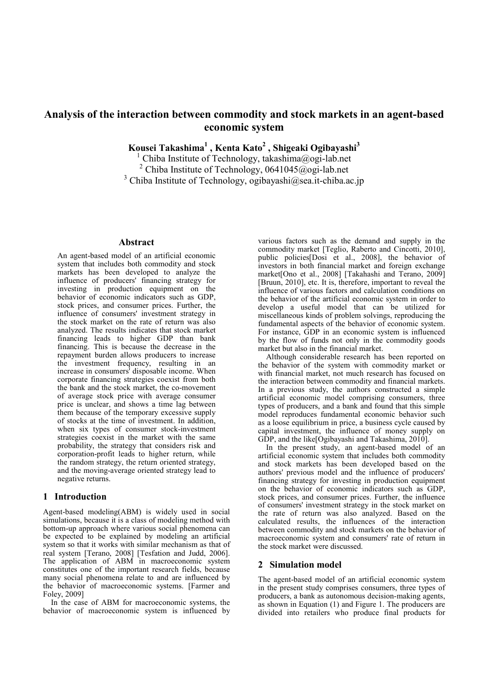# **Analysis of the interaction between commodity and stock markets in an agent-based economic system**

**Kousei Takashima<sup>1</sup> , Kenta Kato<sup>2</sup> , Shigeaki Ogibayashi<sup>3</sup>**

1 Chiba Institute of Technology, takashima@ogi-lab.net <sup>2</sup> Chiba Institute of Technology, 0641045@ogi-lab.net <sup>3</sup> Chiba Institute of Technology, ogibayashi@sea.it-chiba.ac.jp

## **Abstract**

An agent-based model of an artificial economic system that includes both commodity and stock markets has been developed to analyze the influence of producers' financing strategy for investing in production equipment on the behavior of economic indicators such as GDP, stock prices, and consumer prices. Further, the influence of consumers' investment strategy in the stock market on the rate of return was also analyzed. The results indicates that stock market financing leads to higher GDP than bank financing. This is because the decrease in the repayment burden allows producers to increase the investment frequency, resulting in an increase in consumers' disposable income. When corporate financing strategies coexist from both the bank and the stock market, the co-movement of average stock price with average consumer price is unclear, and shows a time lag between them because of the temporary excessive supply of stocks at the time of investment. In addition, when six types of consumer stock-investment strategies coexist in the market with the same probability, the strategy that considers risk and corporation-profit leads to higher return, while the random strategy, the return oriented strategy, and the moving-average oriented strategy lead to negative returns.

## **1 Introduction**

Agent-based modeling(ABM) is widely used in social simulations, because it is a class of modeling method with bottom-up approach where various social phenomena can be expected to be explained by modeling an artificial system so that it works with similar mechanism as that of real system [Terano, 2008] [Tesfation and Judd, 2006]. The application of ABM in macroeconomic system constitutes one of the important research fields, because many social phenomena relate to and are influenced by the behavior of macroeconomic systems. [Farmer and Foley, 2009]

In the case of ABM for macroeconomic systems, the behavior of macroeconomic system is influenced by

various factors such as the demand and supply in the commodity market [Teglio, Raberto and Cincotti, 2010], public policies[Dosi et al., 2008], the behavior of investors in both financial market and foreign exchange market[Ono et al., 2008] [Takahashi and Terano, 2009] [Bruun, 2010], etc. It is, therefore, important to reveal the influence of various factors and calculation conditions on the behavior of the artificial economic system in order to develop a useful model that can be utilized for miscellaneous kinds of problem solvings, reproducing the fundamental aspects of the behavior of economic system. For instance, GDP in an economic system is influenced by the flow of funds not only in the commodity goods market but also in the financial market.

Although considerable research has been reported on the behavior of the system with commodity market or with financial market, not much research has focused on the interaction between commodity and financial markets. In a previous study, the authors constructed a simple artificial economic model comprising consumers, three types of producers, and a bank and found that this simple model reproduces fundamental economic behavior such as a loose equilibrium in price, a business cycle caused by capital investment, the influence of money supply on GDP, and the like[Ogibayashi and Takashima, 2010].

In the present study, an agent-based model of an artificial economic system that includes both commodity and stock markets has been developed based on the authors' previous model and the influence of producers' financing strategy for investing in production equipment on the behavior of economic indicators such as GDP, stock prices, and consumer prices. Further, the influence of consumers' investment strategy in the stock market on the rate of return was also analyzed. Based on the calculated results, the influences of the interaction between commodity and stock markets on the behavior of macroeconomic system and consumers' rate of return in the stock market were discussed.

## **2 Simulation model**

The agent-based model of an artificial economic system in the present study comprises consumers, three types of producers, a bank as autonomous decision-making agents, as shown in Equation (1) and Figure 1. The producers are divided into retailers who produce final products for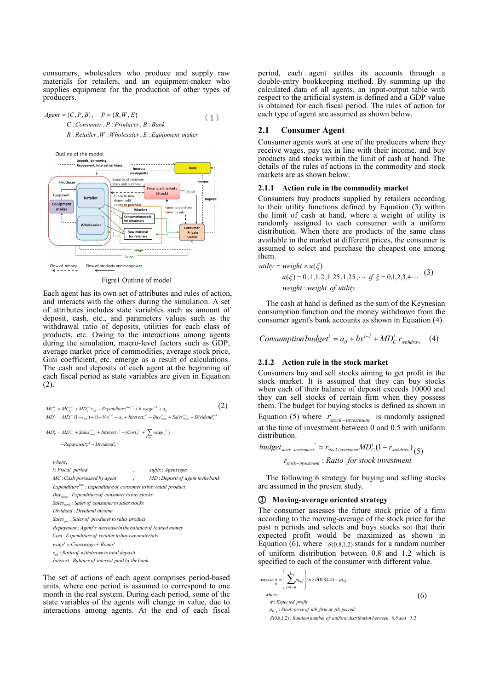consumers, wholesalers who produce and supply raw materials for retailers, and an equipment-maker who supplies equipment for the production of other types of producers.

*Agent* = {*C, P, B*}, 
$$
P = {R, W, E}
$$
 (1)  
\n*C*: *Cosumer, P*: *Product*, *B*: *Bank*  
\n*R*: *Retailer, W*: *Wholesaler, E*: *Equipment maker*

Outline of the model Deposit, Borrowing,<br>Repayment, Interest on loans Issuance of common Produce stock and purchase **Financial markets**  $F = - - - - - - -$ <br>Funds to new<br>shares sold<br>Funds to purchase (Stock) Fauinment Retaile Equipment Funds to purchase npment<br>1aker **Marke** Funds to sale imption goods Wholesaler **Raw materia** for retailer Labor Flow of money Flow of products and manpower

Figre1.Outline of model

Each agent has its own set of attributes and rules of action, and interacts with the others during the simulation. A set of attributes includes state variables such as amount of deposit, cash, etc., and parameters values such as the withdrawal ratio of deposits, utilities for each class of products, etc. Owing to the interactions among agents during the simulation, macro-level factors such as GDP, average market price of commodities, average stock price, Gini coefficient, etc. emerge as a result of calculations. The cash and deposits of each agent at the beginning of each fiscal period as state variables are given in Equation (2).

$$
MCic = MCi-1c + MDi-1c + Woli-1C + Wol = Expenditurelogi-1 + b wagei-1 + a0 (2)\nMDic = MDi-1c (1 - rwd) + (1 - b)xi-1 - a0 + Interesti-1c - Buyi-1wax1 + Salesi-1wax2 + Dividendi-1c\nMDip = MDi-1p + Salesi-1p + Interesti-1p - (Costi-1p + 
$$
\sum_{k \in C_1} w e e_k^{-1})
$$
\n-
$$
-Repaymenti-1p - Dividendi-1p
$$
\nwhere,  
\ni: Fiscal period  
\nMC: Cash possessed by agent , *MD*: Department of  
\n
$$
MC: Cash possessed by agent , MD: Department of\nExpenditurelogi: Expenditure of consumer to buy retail product\nBuystock: Expenditure of consumer to sales stocks\nDividend: Dividend income\nSalespro: Sales of producer to sales product\nRepayment: Agent's decrease in the balance of loaned money\nCost: Expenditure of retailer to buy raw materials\nwage' = Constrwage + Bonus'
$$
$$

*Interest Balanceof interest paid by thebank* : *r Ratio of withdrawn tototal deposit wd* :

The set of actions of each agent comprises period-based units, where one period is assumed to correspond to one month in the real system. During each period, some of the state variables of the agents will change in value, due to interactions among agents. At the end of each fiscal

period, each agent settles its accounts through a double-entry bookkeeping method. By summing up the calculated data of all agents, an input-output table with respect to the artificial system is defined and a GDP value is obtained for each fiscal period. The rules of action for each type of agent are assumed as shown below.

## **2.1 Consumer Agent**

Consumer agents work at one of the producers where they receive wages, pay tax in line with their income, and buy products and stocks within the limit of cash at hand. The details of the rules of actions in the commodity and stock markets are as shown below.

### **2.1.1 Action rule in the commodity market**

Consumers buy products supplied by retailers according to their utility functions defined by Equation (3) within the limit of cash at hand, where a weight of utility is randomly assigned to each consumer with a uniform distribution. When there are products of the same class available in the market at different prices, the consumer is assumed to select and purchase the cheapest one among them.

utility = weight × 
$$
u(\xi)
$$
  
  $u(\xi) = 0,1,1.2,1.25,1.25,...$  if  $\xi = 0,1,2,3,4...$  (3)  
weight : weight of utility

The cash at hand is defined as the sum of the Keynesian consumption function and the money withdrawn from the consumer agent's bank accounts as shown in Equation (4).

*Consumption budget*<sup>*i*</sup> =  $a_0 + bx^{i-1} + MD_c^i$   $r_{withdraw}$ (4)

## **2.1.2 Action rule in the stock market**

Consumers buy and sell stocks aiming to get profit in the stock market. It is assumed that they can buy stocks when each of their balance of deposit exceeds 10000 and they can sell stocks of certain firm when they possess them. The budget for buying stocks is defined as shown in Equation (5) where  $r_{stock-investment}$  is randomly assigned at the time of investment between 0 and 0.5 with uniform distribution.

$$
budget_{stock-investment}^i = r_{stock investment}MD_C^i (1 - r_{withoutdraw})
$$
\n
$$
r_{stock-investment} : Ratio \ for stock investment
$$

The following 6 strategy for buying and selling stocks are assumed in the present study.

## ① **Moving-average oriented strategy**

The consumer assesses the future stock price of a firm according to the moving-average of the stock price for the past n periods and selects and buys stocks sot that their expected profit would be maximized as shown in Equation (6), where  $\delta(0.8,1.2)$  stands for a random number of uniform distribution between 0.8 and 1.2 which is specified to each of the consumer with different value.

$$
\begin{aligned}\n\text{maxize } \pi &= \left( \sum_{j=t-n}^{t} p_{k,j} \right) / n \times \delta(0.8, 1.2) - p_{k,t} \\
\text{where,} \\
\pi &: Expected\ profit \\
p_{k,j} &: Stock\ price\ of\ kth\ firm\ at\ jth\ period\n\end{aligned} \tag{6}
$$

 $δ$ (0.8,1.2): Random number of uniform distribution between 0.8 and 1.2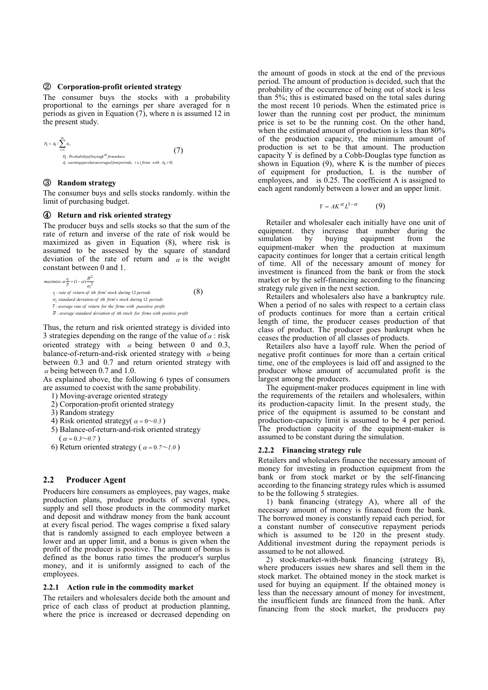### ② **Corporation-profit oriented strategy**

The consumer buys the stocks with a probability proportional to the earnings per share averaged for n periods as given in Equation (7), where n is assumed 12 in the present study.

$$
P_k = A_k / \sum_{i=1}^{m} A_i,
$$
\n
$$
P_k : \text{Probability of buying } k^{th} \text{ firms share}
$$
\n
$$
A_i : earnings \text{peraharaweraged foraperiods}, \ i \in \{\text{firms with } A_k > 0\}
$$

## ③ **Random strategy**

The consumer buys and sells stocks randomly. within the limit of purchasing budget.

#### ④ **Return and risk oriented strategy**

The producer buys and sells stocks so that the sum of the rate of return and inverse of the rate of risk would be maximized as given in Equation (8), where risk is assumed to be assessed by the square of standard deviation of the rate of return and  $\alpha$  is the weight constant between 0 and 1.

maximize 
$$
\alpha \frac{r_1}{r} + (1 - \alpha) \frac{\overline{\sigma}^2}{\sigma_i^2}
$$
  
\n $r_1$ : rate of return of *ith firm's* stock during 12 periods  
\n $\sigma_i$  standard deviation of *ith firm's* stock during 12 periods  
\n $\overline{r}$ : average rate of return for the firms with positive profit  
\n $\overline{\sigma}$ : average standard deviation of *ith* stock for firms with positive profit

Thus, the return and risk oriented strategy is divided into 3 strategies depending on the range of the value of  $\alpha$  : risk oriented strategy with  $\alpha$  being between 0 and 0.3, balance-of-return-and-risk oriented strategy with  $\alpha$  being between 0.3 and 0.7 and return oriented strategy with  $\alpha$  being between 0.7 and 1.0.

As explained above, the following 6 types of consumers are assumed to coexist with the same probability.

- 1) Moving-average oriented strategy
- 2) Corporation-profit oriented strategy
- 3) Random strategy
- 4) Risk oriented strategy( $\alpha = 0 \sim 0.3$ )
- 5) Balance-of-return-and-risk oriented strategy  $(\alpha = 0.3 \sim 0.7)$
- 6) Return oriented strategy ( $\alpha = 0.7 \sim 1.0$ )

### **2.2 Producer Agent**

Producers hire consumers as employees, pay wages, make production plans, produce products of several types, supply and sell those products in the commodity market and deposit and withdraw money from the bank account at every fiscal period. The wages comprise a fixed salary that is randomly assigned to each employee between a lower and an upper limit, and a bonus is given when the profit of the producer is positive. The amount of bonus is defined as the bonus ratio times the producer's surplus money, and it is uniformly assigned to each of the employees.

### **2.2.1 Action rule in the commodity market**

The retailers and wholesalers decide both the amount and price of each class of product at production planning, where the price is increased or decreased depending on

the amount of goods in stock at the end of the previous period. The amount of production is decided, such that the probability of the occurrence of being out of stock is less than 5%; this is estimated based on the total sales during the most recent 10 periods. When the estimated price is lower than the running cost per product, the minimum price is set to be the running cost. On the other hand, when the estimated amount of production is less than  $80\%$ of the production capacity, the minimum amount of production is set to be that amount. The production capacity Y is defined by a Cobb-Douglas type function as shown in Equation  $(9)$ , where K is the number of pieces of equipment for production, L is the number of employees, and is  $0.25$ . The coefficient A is assigned to each agent randomly between a lower and an upper limit.

$$
Y = AK^{\alpha}L^{1-\alpha} \tag{9}
$$

Retailer and wholesaler each initially have one unit of equipment. they increase that number during the simulation by buying equipment from the simulation by buying equipment from the equipment-maker when the production at maximum capacity continues for longer that a certain critical length of time. All of the necessary amount of money for investment is financed from the bank or from the stock market or by the self-financing according to the financing strategy rule given in the next section.

Retailers and wholesalers also have a bankruptcy rule. When a period of no sales with respect to a certain class of products continues for more than a certain critical length of time, the producer ceases production of that class of product. The producer goes bankrupt when he ceases the production of all classes of products.

Retailers also have a layoff rule. When the period of negative profit continues for more than a certain critical time, one of the employees is laid off and assigned to the producer whose amount of accumulated profit is the largest among the producers.

The equipment-maker produces equipment in line with the requirements of the retailers and wholesalers, within its production-capacity limit. In the present study, the price of the equipment is assumed to be constant and production-capacity limit is assumed to be 4 per period. The production capacity of the equipment-maker is assumed to be constant during the simulation.

#### **2.2.2 Financing strategy rule**

Retailers and wholesalers finance the necessary amount of money for investing in production equipment from the bank or from stock market or by the self-financing according to the financing strategy rules which is assumed to be the following 5 strategies.

1) bank financing (strategy A), where all of the necessary amount of money is financed from the bank. The borrowed money is constantly repaid each period, for a constant number of consecutive repayment periods which is assumed to be 120 in the present study. Additional investment during the repayment periods is assumed to be not allowed.

2) stock-market-with-bank financing (strategy B), where producers issues new shares and sell them in the stock market. The obtained money in the stock market is used for buying an equipment. If the obtained money is less than the necessary amount of money for investment, the insufficient funds are financed from the bank. After financing from the stock market, the producers pay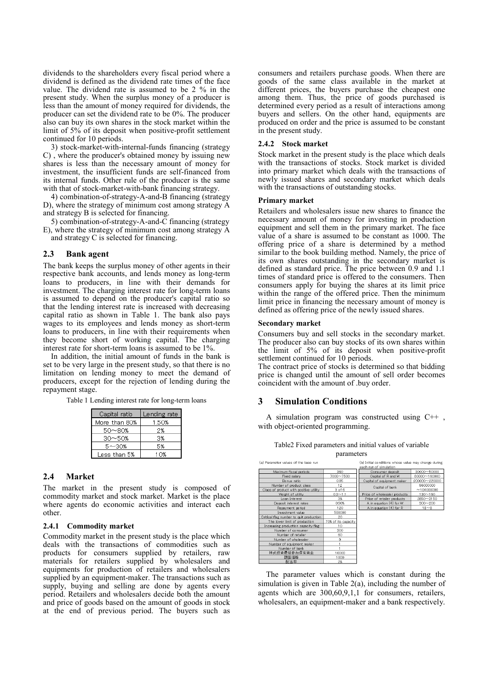dividends to the shareholders every fiscal period where a dividend is defined as the dividend rate times of the face value. The dividend rate is assumed to be 2 % in the present study. When the surplus money of a producer is less than the amount of money required for dividends, the producer can set the dividend rate to be 0%. The producer also can buy its own shares in the stock market within the limit of 5% of its deposit when positive-profit settlement continued for 10 periods.

3) stock-market-with-internal-funds financing (strategy C) , where the producer's obtained money by issuing new shares is less than the necessary amount of money for investment, the insufficient funds are self-financed from its internal funds. Other rule of the producer is the same with that of stock-market-with-bank financing strategy.

4) combination-of-strategy-A-and-B financing (strategy D), where the strategy of minimum cost among strategy A and strategy B is selected for financing.

5) combination-of-strategy-A-and-C financing (strategy E), where the strategy of minimum cost among strategy A and strategy C is selected for financing.

### **2.3 Bank agent**

The bank keeps the surplus money of other agents in their respective bank accounts, and lends money as long-term loans to producers, in line with their demands for investment. The charging interest rate for long-term loans is assumed to depend on the producer's capital ratio so that the lending interest rate is increased with decreasing capital ratio as shown in Table 1. The bank also pays wages to its employees and lends money as short-term loans to producers, in line with their requirements when they become short of working capital. The charging interest rate for short-term loans is assumed to be 1%.

In addition, the initial amount of funds in the bank is set to be very large in the present study, so that there is no limitation on lending money to meet the demand of producers, except for the rejection of lending during the repayment stage.

Table 1 Lending interest rate for long-term loans

| Capital ratio | Lending rate |
|---------------|--------------|
| More than 80% | 1.50%        |
| 50~80%        | 2%           |
| $30 - 50%$    | 3%           |
| 5~30%         | 5%           |
| Less than 5%  | О%           |

#### **2.4 Market**

The market in the present study is composed of commodity market and stock market. Market is the place where agents do economic activities and interact each other.

#### **2.4.1 Commodity market**

Commodity market in the present study is the place which deals with the transactions of commodities such as products for consumers supplied by retailers, raw materials for retailers supplied by wholesalers and equipments for production of retailers and wholesalers supplied by an equipment-maker. The transactions such as supply, buying and selling are done by agents every period. Retailers and wholesalers decide both the amount and price of goods based on the amount of goods in stock at the end of previous period. The buyers such as

consumers and retailers purchase goods. When there are goods of the same class available in the market at different prices, the buyers purchase the cheapest one among them. Thus, the price of goods purchased is determined every period as a result of interactions among buyers and sellers. On the other hand, equipments are produced on order and the price is assumed to be constant in the present study.

#### **2.4.2 Stock market**

Stock market in the present study is the place which deals with the transactions of stocks. Stock market is divided into primary market which deals with the transactions of newly issued shares and secondary market which deals with the transactions of outstanding stocks.

## **Primary market**

Retailers and wholesalers issue new shares to finance the necessary amount of money for investing in production equipment and sell them in the primary market. The face value of a share is assumed to be constant as 1000. The offering price of a share is determined by a method similar to the book building method. Namely, the price of its own shares outstanding in the secondary market is defined as standard price. The price between 0.9 and 1.1 times of standard price is offered to the consumers. Then consumers apply for buying the shares at its limit price within the range of the offered price. Then the minimum limit price in financing the necessary amount of money is defined as offering price of the newly issued shares.

#### **Secondary market**

Consumers buy and sell stocks in the secondary market. The producer also can buy stocks of its own shares within the limit of 5% of its deposit when positive-profit settlement continued for 10 periods.

The contract price of stocks is determined so that bidding price is changed until the amount of sell order becomes coincident with the amount of .buy order.

### **3 Simulation Conditions**

A simulation program was constructed using C++ , with object-oriented programming.

| Table <sub>2</sub> Fixed parameters and initial values of variable |
|--------------------------------------------------------------------|
| parameters                                                         |

| (a) Parameter values of the base run    |                     |  |  |  |
|-----------------------------------------|---------------------|--|--|--|
| Maximum fiscal periods                  | 360                 |  |  |  |
| Fixed salary                            | 7000~7500           |  |  |  |
| Bonus ratio                             | 0.95                |  |  |  |
| Number of product class                 | 12                  |  |  |  |
| Class of product with positive utility  | 3 of 6              |  |  |  |
| Weight of utility                       | $0.3 - 1.1$         |  |  |  |
| Loan Interest                           | 3%                  |  |  |  |
| Deposit interest rates                  | 0.50%               |  |  |  |
| Repayment period                        | 120                 |  |  |  |
| Investment value                        | 500000              |  |  |  |
| Critical flag number to quit production | 20                  |  |  |  |
| The lower limit of production           | 70% of its capacity |  |  |  |
| Increasing production capacity flag     | 10                  |  |  |  |
| Number of consumer                      | 300                 |  |  |  |
| Number of retailer                      | 60                  |  |  |  |
| Number of wholesaler                    | 9                   |  |  |  |
| Number of equipment maker               |                     |  |  |  |
| Number of bank                          |                     |  |  |  |
| 株式投資最低参加保有資金                            | 10000               |  |  |  |
| 額面価格                                    | 1000                |  |  |  |
| 配当率                                     | 2%                  |  |  |  |

| (b) Initial conditions whose value may change during<br>each run of simulation |               |  |  |
|--------------------------------------------------------------------------------|---------------|--|--|
| Consumer deposit                                                               | 30000~50000   |  |  |
| Capital of R and W                                                             | 80000~160000  |  |  |
| Capital of equipment maker                                                     | 200000~220000 |  |  |
| Capital of bank                                                                | 96000000      |  |  |
|                                                                                | ~104000000    |  |  |
| Price of wholesaler products                                                   | $130 - 160$   |  |  |
| Price of retailer products                                                     | 2850~3150     |  |  |
| A in equation (4) for W                                                        | $300 - 200$   |  |  |
| A in equation (4) for R                                                        | $18 - 8$      |  |  |

The parameter values which is constant during the simulation is given in Table 2(a), including the number of agents which are 300,60,9,1,1 for consumers, retailers, wholesalers, an equipment-maker and a bank respectively.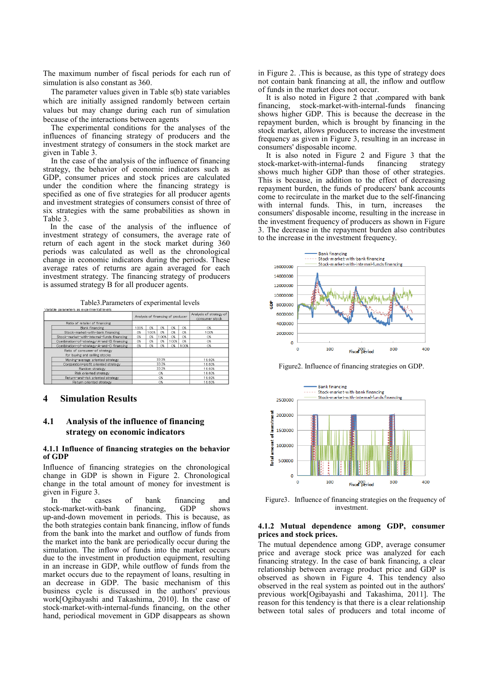The maximum number of fiscal periods for each run of simulation is also constant as 360.

The parameter values given in Table s(b) state variables which are initially assigned randomly between certain values but may change during each run of simulation because of the interactions between agents

The experimental conditions for the analyses of the influences of financing strategy of producers and the investment strategy of consumers in the stock market are given in Table 3.

In the case of the analysis of the influence of financing strategy, the behavior of economic indicators such as GDP, consumer prices and stock prices are calculated under the condition where the financing strategy is specified as one of five strategies for all producer agents and investment strategies of consumers consist of three of six strategies with the same probabilities as shown in Table 3.

In the case of the analysis of the influence of investment strategy of consumers, the average rate of return of each agent in the stock market during 360 periods was calculated as well as the chronological change in economic indicators during the periods. These average rates of returns are again averaged for each investment strategy. The financing strategy of producers is assumed strategy B for all producer agents.

Table3.Parameters of experimental levels

| vanable parameters as experimental levels                      |                                   |       |        |                                           |        |      |
|----------------------------------------------------------------|-----------------------------------|-------|--------|-------------------------------------------|--------|------|
|                                                                | Analysis of financing of producer |       |        | Analysis of strategy of<br>consumer stock |        |      |
| Ratio of retailer of financing                                 |                                   |       |        |                                           |        |      |
| Bank financing                                                 | 100%                              | O%    | O%     | 0%                                        | C%     | 0%   |
| Stock-market-with-bank financing                               | O%                                | 00%   | O%     | O%                                        | O%     | 100% |
| Stock-market-with-internal-funds financing                     | O%                                | 0%    | 100%   | O%                                        | C%     | 0%   |
| Combination-of-strategy-A-and-B financing                      | O%                                | O%    | O%     | 100%                                      | O%     | 0%   |
| Combination-of-strategy-A-and-C financing                      | O%                                | O%    | O%     | O%                                        | 100%   | 0%   |
| Ratio of consumer of strategy<br>for buying and selling stocks |                                   |       |        |                                           |        |      |
| Moving-average oriented strategy                               |                                   | 33.3% |        |                                           | 16.60% |      |
| Corporation-profit oriented strategy                           | 33.3%                             |       |        | 16.60%                                    |        |      |
| Random strategy                                                | 33.3%                             |       | 16.60% |                                           |        |      |
| Risk oriented strategy                                         | O%<br>O%                          |       |        | 16.60%                                    |        |      |
| Return-and-risk oriented strategy                              |                                   |       |        | 16.60%                                    |        |      |
| Return oriented strategy                                       | O%                                |       | 16.60% |                                           |        |      |

## **4 Simulation Results**

## **4.1 Analysis of the influence of financing strategy on economic indicators**

## **4.1.1 Influence of financing strategies on the behavior of GDP**

Influence of financing strategies on the chronological change in GDP is shown in Figure 2. Chronological change in the total amount of money for investment is given in Figure 3.<br>In the case

In the cases of bank financing and<br>ock-market-with-bank financing, GDP shows stock-market-with-bank up-and-down movement in periods. This is because, as the both strategies contain bank financing, inflow of funds from the bank into the market and outflow of funds from the market into the bank are periodically occur during the simulation. The inflow of funds into the market occurs due to the investment in production equipment, resulting in an increase in GDP, while outflow of funds from the market occurs due to the repayment of loans, resulting in an decrease in GDP. The basic mechanism of this business cycle is discussed in the authors' previous work[Ogibayashi and Takashima, 2010]. In the case of stock-market-with-internal-funds financing, on the other hand, periodical movement in GDP disappears as shown

in Figure 2. .This is because, as this type of strategy does not contain bank financing at all, the inflow and outflow of funds in the market does not occur.

It is also noted in Figure 2 that ,compared with bank financing, stock-market-with-internal-funds financing shows higher GDP. This is because the decrease in the repayment burden, which is brought by financing in the stock market, allows producers to increase the investment frequency as given in Figure 3, resulting in an increase in consumers' disposable income.

It is also noted in Figure 2 and Figure 3 that the stock-market-with-internal-funds financing strategy shows much higher GDP than those of other strategies. This is because, in addition to the effect of decreasing repayment burden, the funds of producers' bank accounts come to recirculate in the market due to the self-financing with internal funds. This, in turn, increases the consumers' disposable income, resulting in the increase in the investment frequency of producers as shown in Figure 3. The decrease in the repayment burden also contributes to the increase in the investment frequency.



Figure2. Influence of financing strategies on GDP.



Figure3. Influence of financing strategies on the frequency of investment.

### **4.1.2 Mutual dependence among GDP, consumer prices and stock prices.**

The mutual dependence among GDP, average consumer price and average stock price was analyzed for each financing strategy. In the case of bank financing, a clear relationship between average product price and GDP is observed as shown in Figure 4. This tendency also observed in the real system as pointed out in the authors' previous work[Ogibayashi and Takashima, 2011]. The reason for this tendency is that there is a clear relationship between total sales of producers and total income of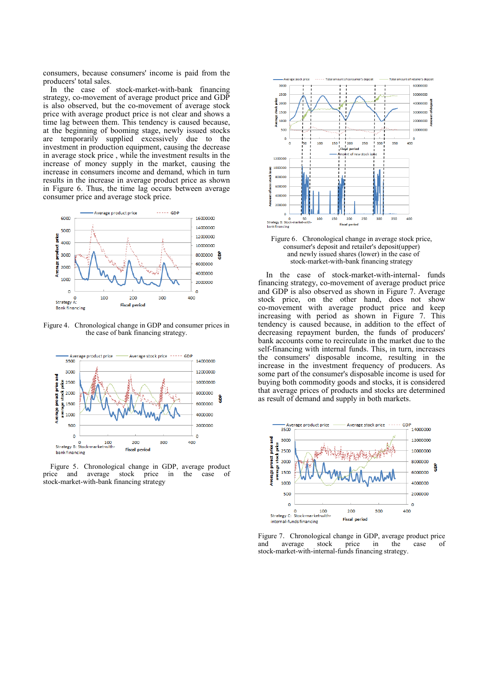consumers, because consumers' income is paid from the producers' total sales.

In the case of stock-market-with-bank financing strategy, co-movement of average product price and GDP is also observed, but the co-movement of average stock price with average product price is not clear and shows a time lag between them. This tendency is caused because, at the beginning of booming stage, newly issued stocks are temporarily supplied excessively due to the investment in production equipment, causing the decrease in average stock price , while the investment results in the increase of money supply in the market, causing the increase in consumers income and demand, which in turn results in the increase in average product price as shown in Figure 6. Thus, the time lag occurs between average consumer price and average stock price.



Figure 4. Chronological change in GDP and consumer prices in the case of bank financing strategy.



Figure 5. Chronological change in GDP, average product price and average stock price in the case of stock-market-with-bank financing strategy



Figure 6. Chronological change in average stock price, consumer's deposit and retailer's deposit(upper) and newly issued shares (lower) in the case of stock-market-with-bank financing strategy

In the case of stock-market-with-internal- funds financing strategy, co-movement of average product price and GDP is also observed as shown in Figure 7. Average stock price, on the other hand, does not show co-movement with average product price and keep increasing with period as shown in Figure 7. This tendency is caused because, in addition to the effect of decreasing repayment burden, the funds of producers' bank accounts come to recirculate in the market due to the self-financing with internal funds. This, in turn, increases the consumers' disposable income, resulting in the increase in the investment frequency of producers. As some part of the consumer's disposable income is used for buying both commodity goods and stocks, it is considered that average prices of products and stocks are determined as result of demand and supply in both markets.



Figure 7. Chronological change in GDP, average product price<br>and average stock price in the case of and average stock price in the case of stock-market-with-internal-funds financing strategy.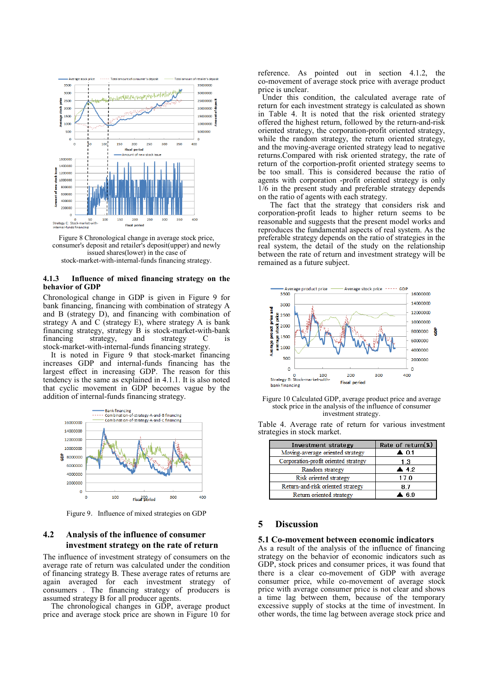

Figure 8 Chronological change in average stock price, consumer's deposit and retailer's deposit(upper) and newly issued shares(lower) in the case of stock-market-with-internal-funds financing strategy.

#### **4.1.3 Influence of mixed financing strategy on the behavior of GDP**

Chronological change in GDP is given in Figure 9 for bank financing, financing with combination of strategy A and B (strategy D), and financing with combination of strategy A and C (strategy E), where strategy A is bank financing strategy, strategy B is stock-market-with-bank<br>financing strategy and strategy C is financing strategy, and strategy C is stock-market-with-internal-funds financing strategy.

It is noted in Figure 9 that stock-market financing increases GDP and internal-funds financing has the largest effect in increasing GDP. The reason for this tendency is the same as explained in 4.1.1. It is also noted that cyclic movement in GDP becomes vague by the addition of internal-funds financing strategy.



Figure 9. Influence of mixed strategies on GDP

## **4.2 Analysis of the influence of consumer investment strategy on the rate of return**

The influence of investment strategy of consumers on the average rate of return was calculated under the condition of financing strategy B. These average rates of returns are again averaged for each investment strategy of consumers . The financing strategy of producers is assumed strategy B for all producer agents.

 The chronological changes in GDP, average product price and average stock price are shown in Figure 10 for reference. As pointed out in section 4.1.2, the co-movement of average stock price with average product price is unclear.

 Under this condition, the calculated average rate of return for each investment strategy is calculated as shown in Table 4. It is noted that the risk oriented strategy offered the highest return, followed by the return-and-risk oriented strategy, the corporation-profit oriented strategy, while the random strategy, the return oriented strategy, and the moving-average oriented strategy lead to negative returns.Compared with risk oriented strategy, the rate of return of the corportion-profit oriented strategy seems to be too small. This is considered because the ratio of agents with corporation -profit oriented strategy is only 1/6 in the present study and preferable strategy depends on the ratio of agents with each strategy.

 The fact that the strategy that considers risk and corporation-profit leads to higher return seems to be reasonable and suggests that the present model works and reproduces the fundamental aspects of real system. As the preferable strategy depends on the ratio of strategies in the real system, the detail of the study on the relationship between the rate of return and investment strategy will be remained as a future subject.



Figure 10 Calculated GDP, average product price and average stock price in the analysis of the influence of consumer investment strategy.

| Investment strategy                  | Rate of return(%)    |
|--------------------------------------|----------------------|
| Moving-average oriented strategy     | $\blacktriangle$ 0.1 |
| Corporation-profit oriented strategy | 1.3                  |
| Random strategy                      | $\blacktriangle$ 4.2 |
| Risk oriented strategy               | 17.0                 |
| Return-and-risk oriented strategy    | 87                   |
| Return oriented strategy             | ⊾ ក 9                |

Table 4. Average rate of return for various investment strategies in stock market.

## **5 Discussion**

#### **5.1 Co-movement between economic indicators**

As a result of the analysis of the influence of financing strategy on the behavior of economic indicators such as GDP, stock prices and consumer prices, it was found that there is a clear co-movement of GDP with average consumer price, while co-movement of average stock price with average consumer price is not clear and shows a time lag between them, because of the temporary excessive supply of stocks at the time of investment. In other words, the time lag between average stock price and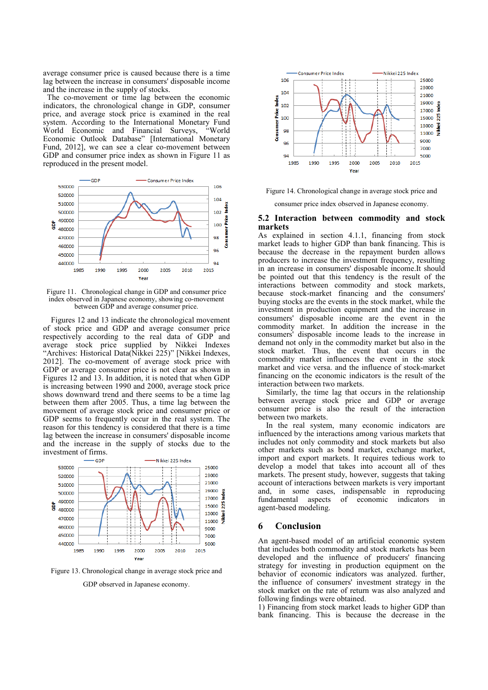average consumer price is caused because there is a time lag between the increase in consumers' disposable income and the increase in the supply of stocks.

 The co-movement or time lag between the economic indicators, the chronological change in GDP, consumer price, and average stock price is examined in the real system. According to the International Monetary Fund World Economic and Financial Surveys, "World World Economic and Financial Surveys, Economic Outlook Database" [International Monetary Fund, 2012], we can see a clear co-movement between GDP and consumer price index as shown in Figure 11 as reproduced in the present model.



Figure 11. Chronological change in GDP and consumer price index observed in Japanese economy, showing co-movement between GDP and average consumer price.

Figures 12 and 13 indicate the chronological movement of stock price and GDP and average consumer price respectively according to the real data of GDP and average stock price supplied by Nikkei Indexes "Archives: Historical Data(Nikkei 225)" [Nikkei Indexes, 2012]. The co-movement of average stock price with GDP or average consumer price is not clear as shown in Figures 12 and 13. In addition, it is noted that when GDP is increasing between 1990 and 2000, average stock price shows downward trend and there seems to be a time lag between them after 2005. Thus, a time lag between the movement of average stock price and consumer price or GDP seems to frequently occur in the real system. The reason for this tendency is considered that there is a time lag between the increase in consumers' disposable income and the increase in the supply of stocks due to the investment of firms.



Figure 13. Chronological change in average stock price and

GDP observed in Japanese economy.



Figure 14. Chronological change in average stock price and

consumer price index observed in Japanese economy.

### **5.2 Interaction between commodity and stock markets**

As explained in section 4.1.1, financing from stock market leads to higher GDP than bank financing. This is because the decrease in the repayment burden allows producers to increase the investment frequency, resulting in an increase in consumers' disposable income.It should be pointed out that this tendency is the result of the interactions between commodity and stock markets, because stock-market financing and the consumers' buying stocks are the events in the stock market, while the investment in production equipment and the increase in consumers' disposable income are the event in the commodity market. In addition the increase in the consumers' disposable income leads to the increase in demand not only in the commodity market but also in the stock market. Thus, the event that occurs in the commodity market influences the event in the stock market and vice versa. and the influence of stock-market financing on the economic indicators is the result of the interaction between two markets.

Similarly, the time lag that occurs in the relationship between average stock price and GDP or average consumer price is also the result of the interaction between two markets.

In the real system, many economic indicators are influenced by the interactions among various markets that includes not only commodity and stock markets but also other markets such as bond market, exchange market, import and export markets. It requires tedious work to develop a model that takes into account all of thes markets. The present study, however, suggests that taking account of interactions between markets is very important and, in some cases, indispensable in reproducing fundamental aspects of economic indicators in agent-based modeling.

### **6 Conclusion**

An agent-based model of an artificial economic system that includes both commodity and stock markets has been developed and the influence of producers' financing strategy for investing in production equipment on the behavior of economic indicators was analyzed. further, the influence of consumers' investment strategy in the stock market on the rate of return was also analyzed and following findings were obtained.

1) Financing from stock market leads to higher GDP than bank financing. This is because the decrease in the